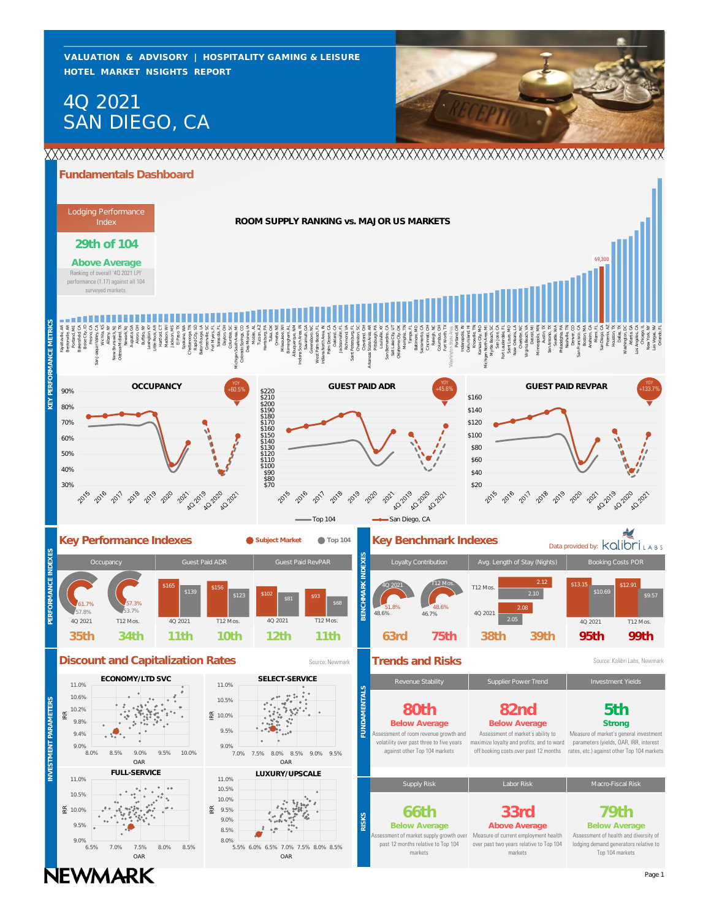**HOTEL MARKET NSIGHTS REPORT VALUATION & ADVISORY | HOSPITALITY GAMING & LEISURE**

# SAN DIEGO, CA 4Q 2021



# **Fundamentals Dashboard**

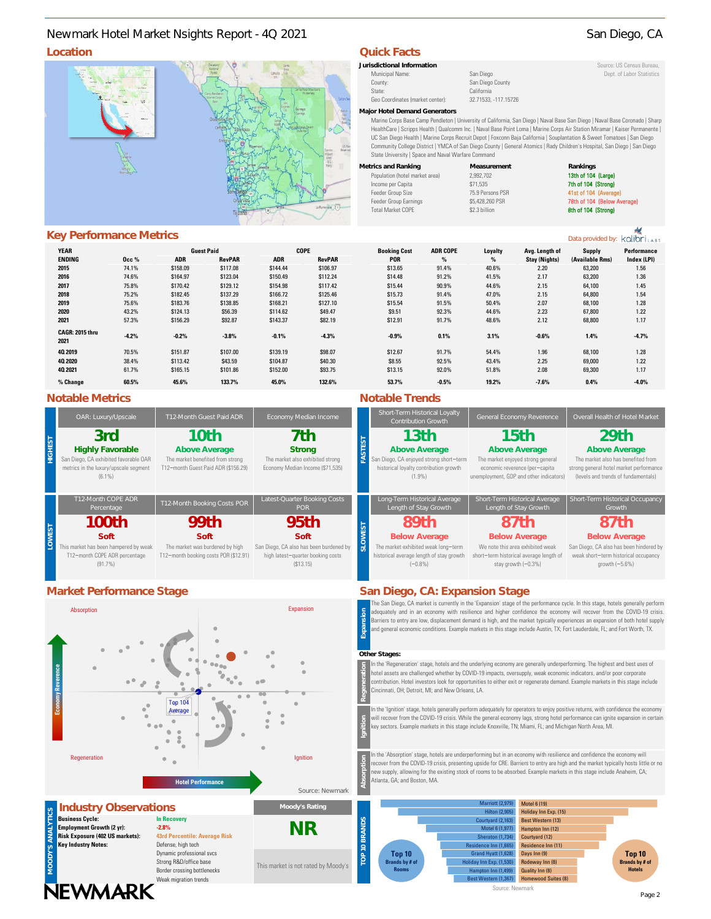# **Location Quick Facts** Newmark Hotel Market Nsights Report - 4Q 2021 San Diego, CA



# **Key Performance Metrics**

| YEAR                    |         | <b>Guest Paid</b> |               | <b>COPE</b> |               | <b>Booking Cost</b> | <b>ADR COPE</b> | Loyalty | Avg. Length of       | Supply          | Performance |
|-------------------------|---------|-------------------|---------------|-------------|---------------|---------------------|-----------------|---------|----------------------|-----------------|-------------|
| <b>ENDING</b>           | 0cc %   | <b>ADR</b>        | <b>RevPAR</b> | <b>ADR</b>  | <b>RevPAR</b> | <b>POR</b>          | $\%$            | $\%$    | <b>Stay (Nights)</b> | (Available Rms) | Index (LPI) |
| 2015                    | 74.1%   | \$158.09          | \$117.08      | \$144.44    | \$106.97      | \$13.65             | 91.4%           | 40.6%   | 2.20                 | 63,200          | 1.56        |
| 2016                    | 74.6%   | \$164.97          | \$123.04      | \$150.49    | \$112.24      | \$14.48             | 91.2%           | 41.5%   | 2.17                 | 63,200          | 1.36        |
| 2017                    | 75.8%   | \$170.42          | \$129.12      | \$154.98    | \$117.42      | \$15.44             | 90.9%           | 44.6%   | 2.15                 | 64,100          | 1.45        |
| 2018                    | 75.2%   | \$182.45          | \$137.29      | \$166.72    | \$125.46      | \$15.73             | 91.4%           | 47.0%   | 2.15                 | 64,800          | 1.54        |
| 2019                    | 75.6%   | \$183.76          | \$138.85      | \$168.21    | \$127.10      | \$15.54             | 91.5%           | 50.4%   | 2.07                 | 68,100          | 1.28        |
| 2020                    | 43.2%   | \$124.13          | \$56.39       | \$114.62    | \$49.47       | \$9.51              | 92.3%           | 44.6%   | 2.23                 | 67,800          | 1.22        |
| 2021                    | 57.3%   | \$156.29          | \$92.87       | \$143.37    | \$82.19       | \$12.91             | 91.7%           | 48.6%   | 2.12                 | 68,800          | 1.17        |
| CAGR: 2015 thru<br>2021 | $-4.2%$ | $-0.2%$           | $-3.8%$       | $-0.1%$     | $-4.3%$       | $-0.9%$             | 0.1%            | 3.1%    | $-0.6%$              | 1.4%            | $-4.7%$     |
| 40 2019                 | 70.5%   | \$151.87          | \$107.00      | \$139.19    | \$98.07       | \$12.67             | 91.7%           | 54.4%   | 1.96                 | 68,100          | 1.28        |
| 40 20 20                | 38.4%   | \$113.42          | \$43.59       | \$104.87    | \$40.30       | \$8.55              | 92.5%           | 43.4%   | 2.25                 | 69,000          | 1.22        |
| 40 2021                 | 61.7%   | \$165.15          | \$101.86      | \$152.00    | \$93.75       | \$13.15             | 92.0%           | 51.8%   | 2.08                 | 69,300          | 1.17        |
| % Change                | 60.5%   | 45.6%             | 133.7%        | 45.0%       | 132.6%        | 53.7%               | $-0.5%$         | 19.2%   | $-7.6%$              | 0.4%            | $-4.0%$     |

## **Notable Metrics Notable Trends**

|  | OAR: Luxury/Upscale                                                                                                           | T12-Month Guest Paid ADR                                                                          | Economy Median Income                                                                                                |  | Short-Term Historical Loyalty<br>Contribution Growth                                                                        | General Economy Reverence                                                                                                                  | Overall Health of Hotel Market                                                                                                                |  |
|--|-------------------------------------------------------------------------------------------------------------------------------|---------------------------------------------------------------------------------------------------|----------------------------------------------------------------------------------------------------------------------|--|-----------------------------------------------------------------------------------------------------------------------------|--------------------------------------------------------------------------------------------------------------------------------------------|-----------------------------------------------------------------------------------------------------------------------------------------------|--|
|  | 3rd<br><b>Highly Favorable</b><br>San Diego, CA exhibited favorable OAR<br>metrics in the luxury/upscale segment<br>$(6.1\%)$ | 10th.<br>Above Average<br>The market benefited from strong<br>T12-month Guest Paid ADR (\$156.29) | 7th<br>Strong<br>The market also exhibited strong<br>Economy Median Income (\$71,535)                                |  | 13th<br>Above Average<br>San Diego, CA enjoyed strong short-term<br>historical loyalty contribution growth<br>$(1.9\%)$     | $15$ th<br>Above Average<br>The market enjoyed strong general<br>economic reverence (per-capita<br>unemployment, GDP and other indicators) | 29th<br>Above Average<br>The market also has benefited from<br>strong general hotel market performance<br>(levels and trends of fundamentals) |  |
|  | T12-Month COPE ADR<br>Percentage                                                                                              | Latest-Quarter Booking Costs<br>T12-Month Booking Costs POR<br>POR                                |                                                                                                                      |  | Long-Term Historical Average<br>Length of Stay Growth                                                                       | Short-Term Historical Average<br>Length of Stay Growth                                                                                     | Short-Term Historical Occupancy<br>Growth                                                                                                     |  |
|  | 100th<br>Soft<br>This market has been hampered by weak<br>T12-month COPE ADR percentage<br>$(91.7\%)$                         | 99th<br>Soft<br>The market was burdened by high<br>T12-month booking costs POR (\$12.91)          | 95 <sub>th</sub><br>Soft<br>San Diego, CA also has been burdened by<br>high latest-quarter booking costs<br>(S13.15) |  | 89th<br><b>Below Average</b><br>The market exhibited weak long-term<br>historical average length of stay growth<br>$(-0.8%$ | 87th<br><b>Below Average</b><br>We note this area exhibited weak<br>short-term historical average length of<br>stay growth $(-0.3\%)$      | 87th<br><b>Below Average</b><br>San Diego, CA also has been hindered b<br>weak short-term historical occupancy<br>growth $(-5.6\%)$           |  |
|  | Market Performance Stage                                                                                                      |                                                                                                   |                                                                                                                      |  | San Diego, CA: Expansion Stage                                                                                              |                                                                                                                                            |                                                                                                                                               |  |



| Jurisdictional Information       |                     | Source: US Census Bureau. |
|----------------------------------|---------------------|---------------------------|
| Municipal Name:                  | San Diego           | Dept. of Labor Statistics |
| County:                          | San Diego County    |                           |
| State:                           | California          |                           |
| Geo Coordinates (market center): | 32.71533 -117.15726 |                           |

**Major Hotel Demand Generators**

Marine Corps Base Camp Pendleton | University of California, San Diego | Naval Base San Diego | Naval Base Coronado | Sharp HealthCare | Scripps Health | Qualcomm Inc. | Naval Base Point Loma | Marine Corps Air Station Miramar | Kaiser Permanente | UC San Diego Health | Marine Corps Recruit Depot | Foxconn Baja California | Souplantation & Sweet Tomatoes | San Diego Community College District | YMCA of San Diego County | General Atomics | Rady Children's Hospital, San Diego | San Diego State University | Space and Naval Warfare Command

|                  | Rankings            |
|------------------|---------------------|
| 2.992.702        | 13th of 104 (Large) |
| \$71.535         | 7th of 104 (Strong) |
| 75.9 Persons PSR | 41st of 104 (Averac |
| \$5,428,260 PSR  | 78th of 104 (Below  |
| \$2.3 billion    | 8th of 104 (Strong) |
|                  | Measurement         |

| Above Average<br>n Diego, CA enjoyed strong short-term<br>historical loyalty contribution growth<br>(1.9% | Above Average<br>The market enjoyed strong general<br>economic reverence (per-capita<br>unemployment, GDP and other indicators) | Above Average<br>The market also has benefited from<br>strong general hotel market performance<br>(levels and trends of fundamentals) |
|-----------------------------------------------------------------------------------------------------------|---------------------------------------------------------------------------------------------------------------------------------|---------------------------------------------------------------------------------------------------------------------------------------|
| Long-Term Historical Average<br>Length of Stay Growth                                                     | Short-Term Historical Average<br>Length of Stay Growth                                                                          | Short-Term Historical Occupancy<br>Growth                                                                                             |
| 89th                                                                                                      | 87th                                                                                                                            | 87th                                                                                                                                  |
| <b>Below Average</b>                                                                                      | <b>Below Average</b>                                                                                                            | <b>Below Average</b>                                                                                                                  |
| he market exhibited weak long-term                                                                        | We note this area exhibited weak                                                                                                | San Diego, CA also has been hindered by<br>.                                                                                          |

The San Diego, CA market is currently in the 'Expansion' stage of the performance cycle. In this stage, hotels generally perform adequately and in an economy with resilience and higher confidence the economy will recover from the COVID-19 crisis. Barriers to entry are low, displacement demand is high, and the market typically experiences an expansion of both hotel supply and general economic conditions. Example markets in this stage include Austin, TX; Fort Lauderdale, FL; and Fort Worth, TX. **Expansion**

### **Other Stages:**

In the 'Regeneration' stage, hotels and the underlying economy are generally underperforming. The highest and best uses of hotel assets are challenged whether by COVID-19 impacts, oversupply, weak economic indicators, and/or poor corporate contribution. Hotel investors look for opportunities to either exit or regenerate demand. Example markets in this stage include Cincinnati, OH; Detroit, MI; and New Orleans, LA.

In the 'Ignition' stage, hotels generally perform adequately for operators to enjoy positive returns, with confidence the economy will recover from the COVID-19 crisis. While the general economy lags, strong hotel performance can ignite expansion in certain key sectors. Example markets in this stage include Knoxville, TN; Miami, FL; and Michigan North Area, MI.

In the 'Absorption' stage, hotels are underperforming but in an economy with resilience and confidence the economy will recover from the COVID-19 crisis, presenting upside for CRE. Barriers to entry are high and the market typically hosts little or no ew supply, allowing for the existing stock of rooms to be absorbed. Example markets in this stage include Anaheim, CA; Atlanta, GA; and Boston, MA.